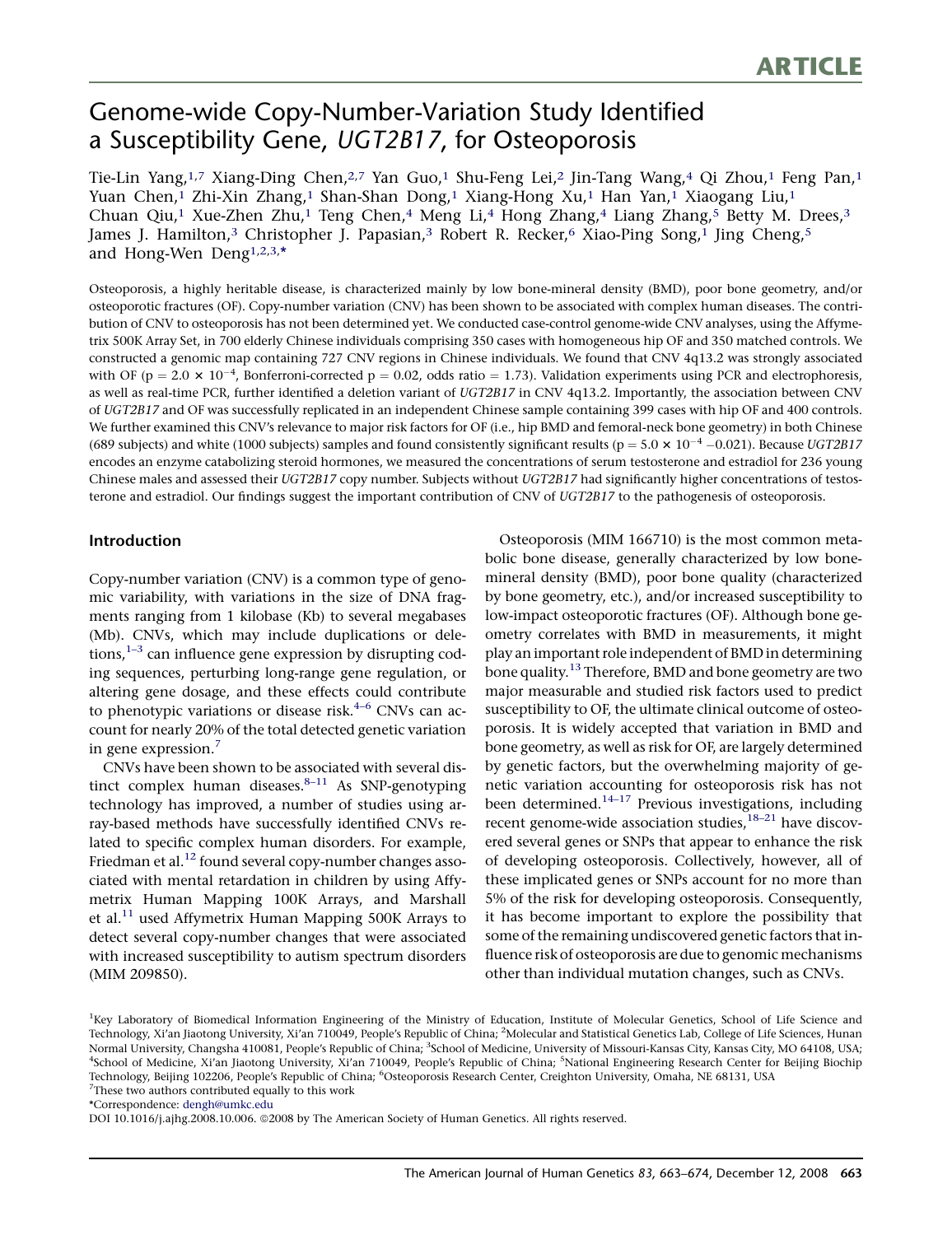# Genome-wide Copy-Number-Variation Study Identified a Susceptibility Gene, UGT2B17, for Osteoporosis

Tie-Lin Yang,<sup>1,7</sup> Xiang-Ding Chen,<sup>2,7</sup> Yan Guo,<sup>1</sup> Shu-Feng Lei,<sup>2</sup> Jin-Tang Wang,<sup>4</sup> Qi Zhou,<sup>1</sup> Feng Pan,<sup>1</sup> Yuan Chen,1 Zhi-Xin Zhang,1 Shan-Shan Dong,1 Xiang-Hong Xu,1 Han Yan,1 Xiaogang Liu,1 Chuan Qiu,<sup>1</sup> Xue-Zhen Zhu,<sup>1</sup> Teng Chen,<sup>4</sup> Meng Li,<sup>4</sup> Hong Zhang,<sup>4</sup> Liang Zhang,<sup>5</sup> Betty M. Drees,<sup>3</sup> James J. Hamilton,<sup>3</sup> Christopher J. Papasian,<sup>3</sup> Robert R. Recker,<sup>6</sup> Xiao-Ping Song,<sup>1</sup> Jing Cheng,<sup>5</sup> and Hong-Wen Deng<sup>1,2,3,\*</sup>

Osteoporosis, a highly heritable disease, is characterized mainly by low bone-mineral density (BMD), poor bone geometry, and/or osteoporotic fractures (OF). Copy-number variation (CNV) has been shown to be associated with complex human diseases. The contribution of CNV to osteoporosis has not been determined yet. We conducted case-control genome-wide CNV analyses, using the Affymetrix 500K Array Set, in 700 elderly Chinese individuals comprising 350 cases with homogeneous hip OF and 350 matched controls. We constructed a genomic map containing 727 CNV regions in Chinese individuals. We found that CNV 4q13.2 was strongly associated with OF ( $p = 2.0 \times 10^{-4}$ , Bonferroni-corrected  $p = 0.02$ , odds ratio = 1.73). Validation experiments using PCR and electrophoresis, as well as real-time PCR, further identified a deletion variant of UGT2B17 in CNV 4q13.2. Importantly, the association between CNV of UGT2B17 and OF was successfully replicated in an independent Chinese sample containing 399 cases with hip OF and 400 controls. We further examined this CNV's relevance to major risk factors for OF (i.e., hip BMD and femoral-neck bone geometry) in both Chinese (689 subjects) and white (1000 subjects) samples and found consistently significant results ( $p = 5.0 \times 10^{-4}$  -0.021). Because UGT2B17 encodes an enzyme catabolizing steroid hormones, we measured the concentrations of serum testosterone and estradiol for 236 young Chinese males and assessed their UGT2B17 copy number. Subjects without UGT2B17 had significantly higher concentrations of testosterone and estradiol. Our findings suggest the important contribution of CNV of UGT2B17 to the pathogenesis of osteoporosis.

## Introduction

Copy-number variation (CNV) is a common type of genomic variability, with variations in the size of DNA fragments ranging from 1 kilobase (Kb) to several megabases (Mb). CNVs, which may include duplications or deletions, $1-3$  can influence gene expression by disrupting coding sequences, perturbing long-range gene regulation, or altering gene dosage, and these effects could contribute to phenotypic variations or disease risk. $4-6$  CNVs can account for nearly 20% of the total detected genetic variation in gene expression.<sup>[7](#page-10-0)</sup>

CNVs have been shown to be associated with several distinct complex human diseases. $8-11$  As SNP-genotyping technology has improved, a number of studies using array-based methods have successfully identified CNVs related to specific complex human disorders. For example, Friedman et al.<sup>[12](#page-10-0)</sup> found several copy-number changes associated with mental retardation in children by using Affymetrix Human Mapping 100K Arrays, and Marshall et al. $^{11}$  used Affymetrix Human Mapping 500K Arrays to detect several copy-number changes that were associated with increased susceptibility to autism spectrum disorders (MIM 209850).

Osteoporosis (MIM 166710) is the most common metabolic bone disease, generally characterized by low bonemineral density (BMD), poor bone quality (characterized by bone geometry, etc.), and/or increased susceptibility to low-impact osteoporotic fractures (OF). Although bone geometry correlates with BMD in measurements, it might play an important role independent of BMD in determining bone quality.<sup>[13](#page-10-0)</sup> Therefore, BMD and bone geometry are two major measurable and studied risk factors used to predict susceptibility to OF, the ultimate clinical outcome of osteoporosis. It is widely accepted that variation in BMD and bone geometry, as well as risk for OF, are largely determined by genetic factors, but the overwhelming majority of genetic variation accounting for osteoporosis risk has not been determined. $14-17$  Previous investigations, including recent genome-wide association studies,  $18-21$  have discovered several genes or SNPs that appear to enhance the risk of developing osteoporosis. Collectively, however, all of these implicated genes or SNPs account for no more than 5% of the risk for developing osteoporosis. Consequently, it has become important to explore the possibility that some of the remaining undiscovered genetic factors that influence risk of osteoporosis are due to genomic mechanisms other than individual mutation changes, such as CNVs.

```
*Correspondence: dengh@umkc.edu
```
DOI 10.1016/j.ajhg.2008.10.006. @2008 by The American Society of Human Genetics. All rights reserved.

<sup>&</sup>lt;sup>1</sup>Key Laboratory of Biomedical Information Engineering of the Ministry of Education, Institute of Molecular Genetics, School of Life Science and Technology, Xi'an Jiaotong University, Xi'an 710049, People's Republic of China; <sup>2</sup>Molecular and Statistical Genetics Lab, College of Life Sciences, Hunan Normal University, Changsha 410081, People's Republic of China; <sup>3</sup>School of Medicine, University of Missouri-Kansas City, Kansas City, MO 64108, USA; <sup>4</sup>School of Medicine, Xi'an Jiaotong University, Xi'an 710049, People's Republic of China; <sup>5</sup>National Engineering Research Center for Beijing Biochip Technology, Beijing 102206, People's Republic of China; <sup>6</sup>Osteoporosis Research Center, Creighton University, Omaha, NE 68131, USA <sup>7</sup>These two authors contributed equally to this work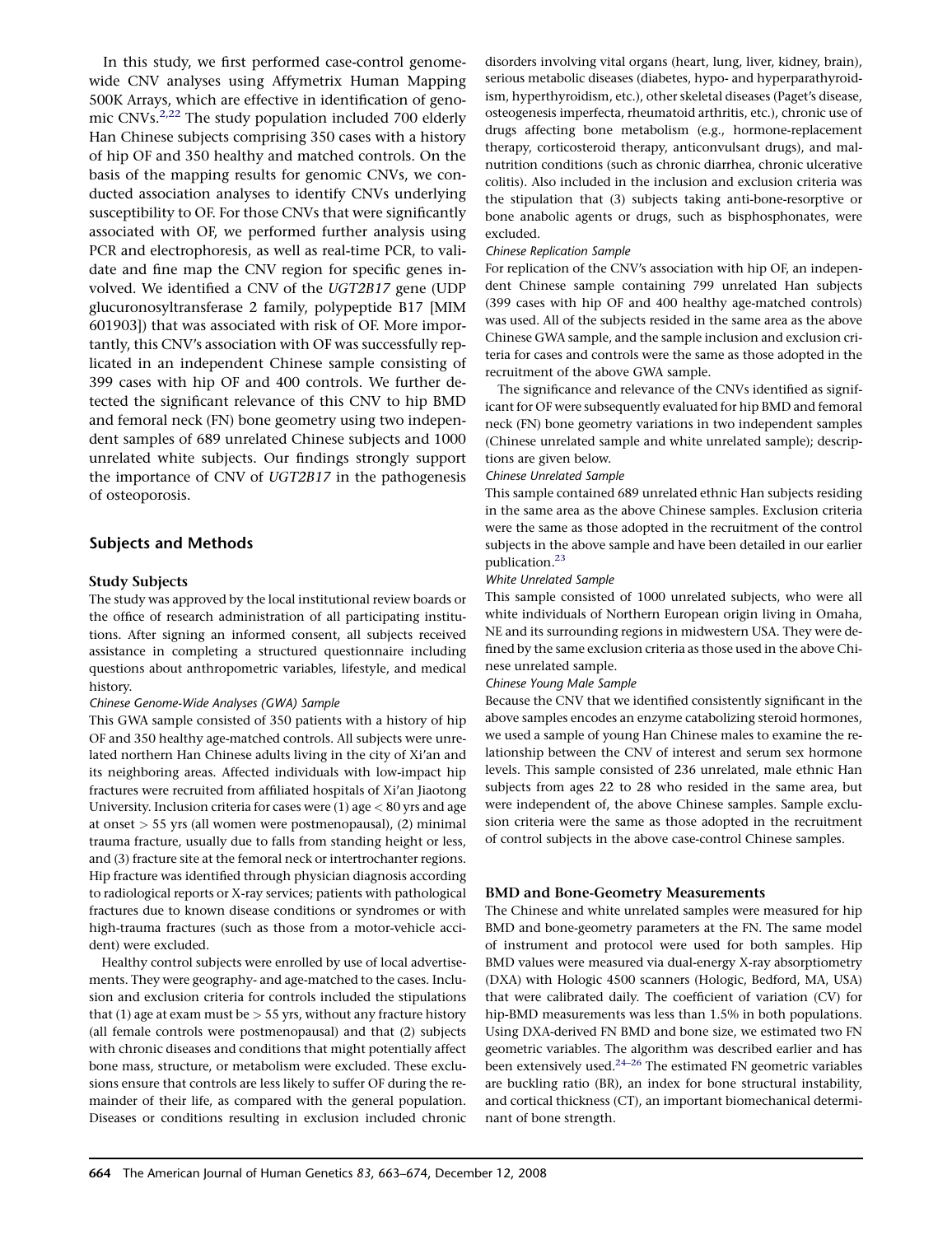<span id="page-1-0"></span>In this study, we first performed case-control genomewide CNV analyses using Affymetrix Human Mapping 500K Arrays, which are effective in identification of genomic CNVs. $2,22$  The study population included 700 elderly Han Chinese subjects comprising 350 cases with a history of hip OF and 350 healthy and matched controls. On the basis of the mapping results for genomic CNVs, we conducted association analyses to identify CNVs underlying susceptibility to OF. For those CNVs that were significantly associated with OF, we performed further analysis using PCR and electrophoresis, as well as real-time PCR, to validate and fine map the CNV region for specific genes involved. We identified a CNV of the UGT2B17 gene (UDP glucuronosyltransferase 2 family, polypeptide B17 [MIM 601903]) that was associated with risk of OF. More importantly, this CNV's association with OF was successfully replicated in an independent Chinese sample consisting of 399 cases with hip OF and 400 controls. We further detected the significant relevance of this CNV to hip BMD and femoral neck (FN) bone geometry using two independent samples of 689 unrelated Chinese subjects and 1000 unrelated white subjects. Our findings strongly support the importance of CNV of UGT2B17 in the pathogenesis of osteoporosis.

## Subjects and Methods

#### Study Subjects

The study was approved by the local institutional review boards or the office of research administration of all participating institutions. After signing an informed consent, all subjects received assistance in completing a structured questionnaire including questions about anthropometric variables, lifestyle, and medical history.

#### Chinese Genome-Wide Analyses (GWA) Sample

This GWA sample consisted of 350 patients with a history of hip OF and 350 healthy age-matched controls. All subjects were unrelated northern Han Chinese adults living in the city of Xi'an and its neighboring areas. Affected individuals with low-impact hip fractures were recruited from affiliated hospitals of Xi'an Jiaotong University. Inclusion criteria for cases were  $(1)$  age  $<$  80 yrs and age at onset > 55 yrs (all women were postmenopausal), (2) minimal trauma fracture, usually due to falls from standing height or less, and (3) fracture site at the femoral neck or intertrochanter regions. Hip fracture was identified through physician diagnosis according to radiological reports or X-ray services; patients with pathological fractures due to known disease conditions or syndromes or with high-trauma fractures (such as those from a motor-vehicle accident) were excluded.

Healthy control subjects were enrolled by use of local advertisements. They were geography- and age-matched to the cases. Inclusion and exclusion criteria for controls included the stipulations that (1) age at exam must be  $> 55$  yrs, without any fracture history (all female controls were postmenopausal) and that (2) subjects with chronic diseases and conditions that might potentially affect bone mass, structure, or metabolism were excluded. These exclusions ensure that controls are less likely to suffer OF during the remainder of their life, as compared with the general population. Diseases or conditions resulting in exclusion included chronic

disorders involving vital organs (heart, lung, liver, kidney, brain), serious metabolic diseases (diabetes, hypo- and hyperparathyroidism, hyperthyroidism, etc.), other skeletal diseases (Paget's disease, osteogenesis imperfecta, rheumatoid arthritis, etc.), chronic use of drugs affecting bone metabolism (e.g., hormone-replacement therapy, corticosteroid therapy, anticonvulsant drugs), and malnutrition conditions (such as chronic diarrhea, chronic ulcerative colitis). Also included in the inclusion and exclusion criteria was the stipulation that (3) subjects taking anti-bone-resorptive or bone anabolic agents or drugs, such as bisphosphonates, were excluded.

#### Chinese Replication Sample

For replication of the CNV's association with hip OF, an independent Chinese sample containing 799 unrelated Han subjects (399 cases with hip OF and 400 healthy age-matched controls) was used. All of the subjects resided in the same area as the above Chinese GWA sample, and the sample inclusion and exclusion criteria for cases and controls were the same as those adopted in the recruitment of the above GWA sample.

The significance and relevance of the CNVs identified as significant for OF were subsequently evaluated for hip BMD and femoral neck (FN) bone geometry variations in two independent samples (Chinese unrelated sample and white unrelated sample); descriptions are given below.

#### Chinese Unrelated Sample

This sample contained 689 unrelated ethnic Han subjects residing in the same area as the above Chinese samples. Exclusion criteria were the same as those adopted in the recruitment of the control subjects in the above sample and have been detailed in our earlier publication.<sup>[23](#page-10-0)</sup>

#### White Unrelated Sample

This sample consisted of 1000 unrelated subjects, who were all white individuals of Northern European origin living in Omaha, NE and its surrounding regions in midwestern USA. They were defined by the same exclusion criteria as those used in the above Chinese unrelated sample.

#### Chinese Young Male Sample

Because the CNV that we identified consistently significant in the above samples encodes an enzyme catabolizing steroid hormones, we used a sample of young Han Chinese males to examine the relationship between the CNV of interest and serum sex hormone levels. This sample consisted of 236 unrelated, male ethnic Han subjects from ages 22 to 28 who resided in the same area, but were independent of, the above Chinese samples. Sample exclusion criteria were the same as those adopted in the recruitment of control subjects in the above case-control Chinese samples.

#### BMD and Bone-Geometry Measurements

The Chinese and white unrelated samples were measured for hip BMD and bone-geometry parameters at the FN. The same model of instrument and protocol were used for both samples. Hip BMD values were measured via dual-energy X-ray absorptiometry (DXA) with Hologic 4500 scanners (Hologic, Bedford, MA, USA) that were calibrated daily. The coefficient of variation (CV) for hip-BMD measurements was less than 1.5% in both populations. Using DXA-derived FN BMD and bone size, we estimated two FN geometric variables. The algorithm was described earlier and has been extensively used. $24-26$  The estimated FN geometric variables are buckling ratio (BR), an index for bone structural instability, and cortical thickness (CT), an important biomechanical determinant of bone strength.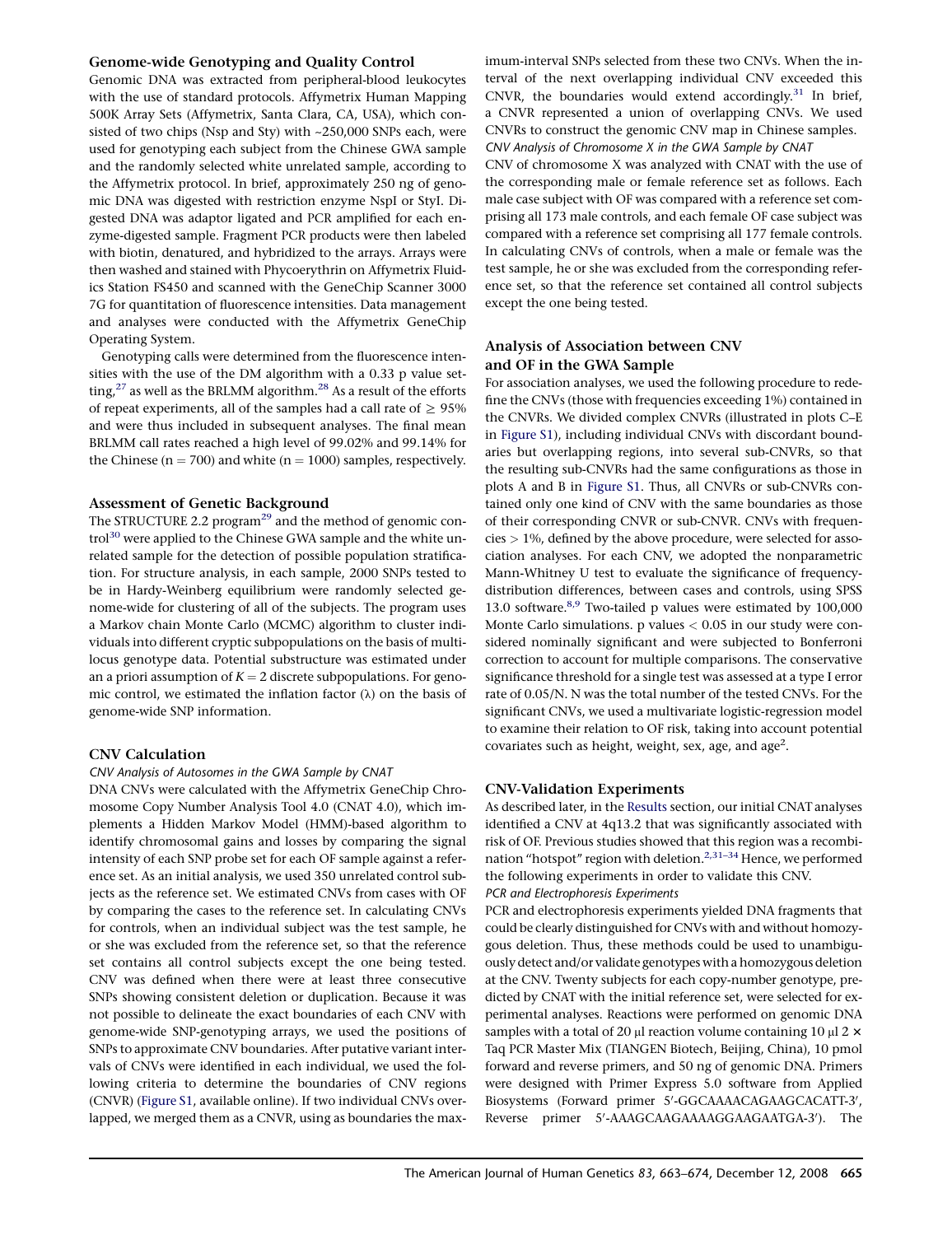## <span id="page-2-0"></span>Genome-wide Genotyping and Quality Control

Genomic DNA was extracted from peripheral-blood leukocytes with the use of standard protocols. Affymetrix Human Mapping 500K Array Sets (Affymetrix, Santa Clara, CA, USA), which consisted of two chips (Nsp and Sty) with ~250,000 SNPs each, were used for genotyping each subject from the Chinese GWA sample and the randomly selected white unrelated sample, according to the Affymetrix protocol. In brief, approximately 250 ng of genomic DNA was digested with restriction enzyme NspI or StyI. Digested DNA was adaptor ligated and PCR amplified for each enzyme-digested sample. Fragment PCR products were then labeled with biotin, denatured, and hybridized to the arrays. Arrays were then washed and stained with Phycoerythrin on Affymetrix Fluidics Station FS450 and scanned with the GeneChip Scanner 3000 7G for quantitation of fluorescence intensities. Data management and analyses were conducted with the Affymetrix GeneChip Operating System.

Genotyping calls were determined from the fluorescence intensities with the use of the DM algorithm with a 0.33 p value setting, $27$  as well as the BRLMM algorithm.<sup>[28](#page-10-0)</sup> As a result of the efforts of repeat experiments, all of the samples had a call rate of  $\geq 95\%$ and were thus included in subsequent analyses. The final mean BRLMM call rates reached a high level of 99.02% and 99.14% for the Chinese ( $n = 700$ ) and white ( $n = 1000$ ) samples, respectively.

#### Assessment of Genetic Background

The STRUCTURE 2.2 program<sup>[29](#page-10-0)</sup> and the method of genomic control<sup>30</sup> were applied to the Chinese GWA sample and the white unrelated sample for the detection of possible population stratification. For structure analysis, in each sample, 2000 SNPs tested to be in Hardy-Weinberg equilibrium were randomly selected genome-wide for clustering of all of the subjects. The program uses a Markov chain Monte Carlo (MCMC) algorithm to cluster individuals into different cryptic subpopulations on the basis of multilocus genotype data. Potential substructure was estimated under an a priori assumption of  $K = 2$  discrete subpopulations. For genomic control, we estimated the inflation factor  $(\lambda)$  on the basis of genome-wide SNP information.

## CNV Calculation

#### CNV Analysis of Autosomes in the GWA Sample by CNAT

DNA CNVs were calculated with the Affymetrix GeneChip Chromosome Copy Number Analysis Tool 4.0 (CNAT 4.0), which implements a Hidden Markov Model (HMM)-based algorithm to identify chromosomal gains and losses by comparing the signal intensity of each SNP probe set for each OF sample against a reference set. As an initial analysis, we used 350 unrelated control subjects as the reference set. We estimated CNVs from cases with OF by comparing the cases to the reference set. In calculating CNVs for controls, when an individual subject was the test sample, he or she was excluded from the reference set, so that the reference set contains all control subjects except the one being tested. CNV was defined when there were at least three consecutive SNPs showing consistent deletion or duplication. Because it was not possible to delineate the exact boundaries of each CNV with genome-wide SNP-genotyping arrays, we used the positions of SNPs to approximate CNV boundaries. After putative variant intervals of CNVs were identified in each individual, we used the following criteria to determine the boundaries of CNV regions (CNVR) (Figure S1, available online). If two individual CNVs overlapped, we merged them as a CNVR, using as boundaries the max-

imum-interval SNPs selected from these two CNVs. When the interval of the next overlapping individual CNV exceeded this CNVR, the boundaries would extend accordingly. $31$  In brief, a CNVR represented a union of overlapping CNVs. We used CNVRs to construct the genomic CNV map in Chinese samples. CNV Analysis of Chromosome X in the GWA Sample by CNAT

CNV of chromosome X was analyzed with CNAT with the use of the corresponding male or female reference set as follows. Each male case subject with OF was compared with a reference set comprising all 173 male controls, and each female OF case subject was compared with a reference set comprising all 177 female controls. In calculating CNVs of controls, when a male or female was the test sample, he or she was excluded from the corresponding reference set, so that the reference set contained all control subjects except the one being tested.

## Analysis of Association between CNV and OF in the GWA Sample

For association analyses, we used the following procedure to redefine the CNVs (those with frequencies exceeding 1%) contained in the CNVRs. We divided complex CNVRs (illustrated in plots C–E in Figure S1), including individual CNVs with discordant boundaries but overlapping regions, into several sub-CNVRs, so that the resulting sub-CNVRs had the same configurations as those in plots A and B in Figure S1. Thus, all CNVRs or sub-CNVRs contained only one kind of CNV with the same boundaries as those of their corresponding CNVR or sub-CNVR. CNVs with frequencies > 1%, defined by the above procedure, were selected for association analyses. For each CNV, we adopted the nonparametric Mann-Whitney U test to evaluate the significance of frequencydistribution differences, between cases and controls, using SPSS 13.0 software.<sup>8,9</sup> Two-tailed p values were estimated by 100,000 Monte Carlo simulations.  $p$  values  $< 0.05$  in our study were considered nominally significant and were subjected to Bonferroni correction to account for multiple comparisons. The conservative significance threshold for a single test was assessed at a type I error rate of 0.05/N. N was the total number of the tested CNVs. For the significant CNVs, we used a multivariate logistic-regression model to examine their relation to OF risk, taking into account potential covariates such as height, weight, sex, age, and age<sup>2</sup>.

#### CNV-Validation Experiments

As described later, in the [Results](#page-4-0) section, our initial CNAT analyses identified a CNV at 4q13.2 that was significantly associated with risk of OF. Previous studies showed that this region was a recombination "hotspot" region with deletion.<sup>2,31-34</sup> Hence, we performed the following experiments in order to validate this CNV.

PCR and Electrophoresis Experiments

PCR and electrophoresis experiments yielded DNA fragments that could be clearly distinguished for CNVs with and without homozygous deletion. Thus, these methods could be used to unambiguously detect and/or validate genotypes with a homozygous deletion at the CNV. Twenty subjects for each copy-number genotype, predicted by CNAT with the initial reference set, were selected for experimental analyses. Reactions were performed on genomic DNA samples with a total of 20  $\mu$ l reaction volume containing 10  $\mu$ l 2  $\times$ Taq PCR Master Mix (TIANGEN Biotech, Beijing, China), 10 pmol forward and reverse primers, and 50 ng of genomic DNA. Primers were designed with Primer Express 5.0 software from Applied Biosystems (Forward primer 5'-GGCAAAACAGAAGCACATT-3', Reverse primer 5'-AAAGCAAGAAAAGGAAGAATGA-3'). The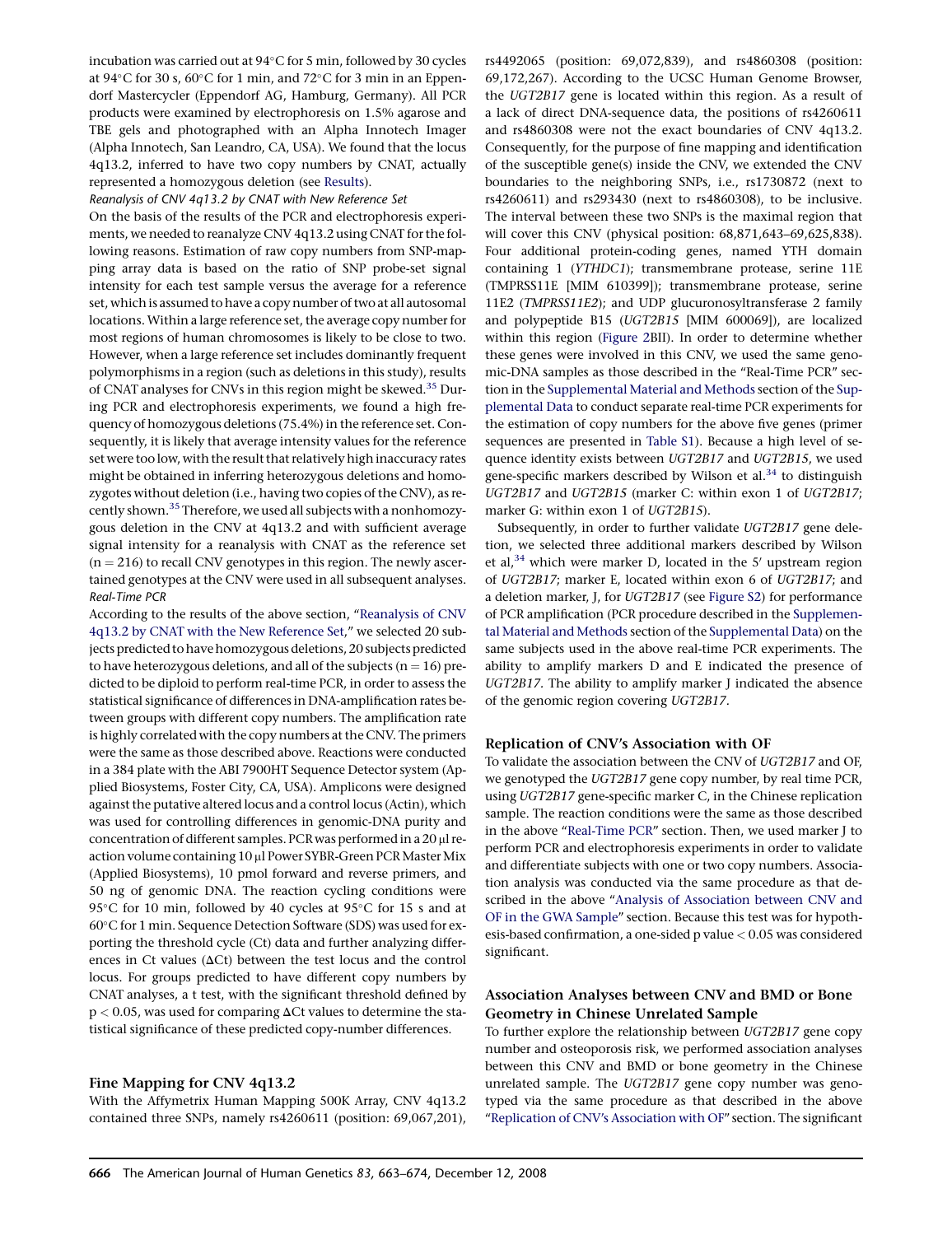<span id="page-3-0"></span>incubation was carried out at  $94^{\circ}$ C for 5 min, followed by 30 cycles at 94 $\rm ^{\circ}C$  for 30 s, 60 $\rm ^{\circ}C$  for 1 min, and 72 $\rm ^{\circ}C$  for 3 min in an Eppendorf Mastercycler (Eppendorf AG, Hamburg, Germany). All PCR products were examined by electrophoresis on 1.5% agarose and TBE gels and photographed with an Alpha Innotech Imager (Alpha Innotech, San Leandro, CA, USA). We found that the locus 4q13.2, inferred to have two copy numbers by CNAT, actually represented a homozygous deletion (see [Results\)](#page-4-0).

#### Reanalysis of CNV 4q13.2 by CNAT with New Reference Set

On the basis of the results of the PCR and electrophoresis experiments, we needed to reanalyze CNV 4q13.2 using CNAT for the following reasons. Estimation of raw copy numbers from SNP-mapping array data is based on the ratio of SNP probe-set signal intensity for each test sample versus the average for a reference set, which is assumed to have a copy number of two at all autosomal locations.Within a large reference set, the average copy number for most regions of human chromosomes is likely to be close to two. However, when a large reference set includes dominantly frequent polymorphisms in a region (such as deletions in this study), results of CNAT analyses for CNVs in this region might be skewed.<sup>35</sup> During PCR and electrophoresis experiments, we found a high frequency of homozygous deletions (75.4%) in the reference set. Consequently, it is likely that average intensity values for the reference set were too low, with the result that relatively high inaccuracy rates might be obtained in inferring heterozygous deletions and homozygotes without deletion (i.e., having two copies of the CNV), as recently shown.<sup>35</sup> Therefore, we used all subjects with a nonhomozygous deletion in the CNV at 4q13.2 and with sufficient average signal intensity for a reanalysis with CNAT as the reference set  $(n = 216)$  to recall CNV genotypes in this region. The newly ascertained genotypes at the CNV were used in all subsequent analyses. Real-Time PCR

According to the results of the above section, ''Reanalysis of CNV 4q13.2 by CNAT with the New Reference Set," we selected 20 subjects predicted to have homozygous deletions, 20 subjects predicted to have heterozygous deletions, and all of the subjects ( $n = 16$ ) predicted to be diploid to perform real-time PCR, in order to assess the statistical significance of differences in DNA-amplification rates between groups with different copy numbers. The amplification rate is highly correlated with the copy numbers at the CNV. The primers were the same as those described above. Reactions were conducted in a 384 plate with the ABI 7900HT Sequence Detector system (Applied Biosystems, Foster City, CA, USA). Amplicons were designed against the putative altered locus and a control locus (Actin), which was used for controlling differences in genomic-DNA purity and concentration of different samples. PCR was performed in a  $20 \mu$ l reaction volume containing 10 µl Power SYBR-Green PCR Master Mix (Applied Biosystems), 10 pmol forward and reverse primers, and 50 ng of genomic DNA. The reaction cycling conditions were 95 $\degree$ C for 10 min, followed by 40 cycles at 95 $\degree$ C for 15 s and at 60°C for 1 min. Sequence Detection Software (SDS) was used for exporting the threshold cycle (Ct) data and further analyzing differences in Ct values ( $\Delta$ Ct) between the test locus and the control locus. For groups predicted to have different copy numbers by CNAT analyses, a t test, with the significant threshold defined by  $p < 0.05$ , was used for comparing  $\Delta$ Ct values to determine the statistical significance of these predicted copy-number differences.

## Fine Mapping for CNV 4q13.2

With the Affymetrix Human Mapping 500K Array, CNV 4q13.2 contained three SNPs, namely rs4260611 (position: 69,067,201), rs4492065 (position: 69,072,839), and rs4860308 (position: 69,172,267). According to the UCSC Human Genome Browser, the UGT2B17 gene is located within this region. As a result of a lack of direct DNA-sequence data, the positions of rs4260611 and rs4860308 were not the exact boundaries of CNV 4q13.2. Consequently, for the purpose of fine mapping and identification of the susceptible gene(s) inside the CNV, we extended the CNV boundaries to the neighboring SNPs, i.e., rs1730872 (next to rs4260611) and rs293430 (next to rs4860308), to be inclusive. The interval between these two SNPs is the maximal region that will cover this CNV (physical position: 68,871,643–69,625,838). Four additional protein-coding genes, named YTH domain containing 1 (YTHDC1); transmembrane protease, serine 11E (TMPRSS11E [MIM 610399]); transmembrane protease, serine 11E2 (TMPRSS11E2); and UDP glucuronosyltransferase 2 family and polypeptide B15 (UGT2B15 [MIM 600069]), are localized within this region ([Figure 2](#page-7-0)BII). In order to determine whether these genes were involved in this CNV, we used the same genomic-DNA samples as those described in the ''Real-Time PCR'' section in the Supplemental Material and Methods section of the Supplemental Data to conduct separate real-time PCR experiments for the estimation of copy numbers for the above five genes (primer sequences are presented in Table S1). Because a high level of sequence identity exists between UGT2B17 and UGT2B15, we used gene-specific markers described by Wilson et al.<sup>[34](#page-11-0)</sup> to distinguish UGT2B17 and UGT2B15 (marker C: within exon 1 of UGT2B17; marker G: within exon 1 of UGT2B15).

Subsequently, in order to further validate UGT2B17 gene deletion, we selected three additional markers described by Wilson et al,<sup>[34](#page-11-0)</sup> which were marker D, located in the 5' upstream region of UGT2B17; marker E, located within exon 6 of UGT2B17; and a deletion marker, J, for UGT2B17 (see Figure S2) for performance of PCR amplification (PCR procedure described in the Supplemental Material and Methods section of the Supplemental Data) on the same subjects used in the above real-time PCR experiments. The ability to amplify markers D and E indicated the presence of UGT2B17. The ability to amplify marker J indicated the absence of the genomic region covering UGT2B17.

#### Replication of CNV's Association with OF

To validate the association between the CNV of UGT2B17 and OF, we genotyped the UGT2B17 gene copy number, by real time PCR, using UGT2B17 gene-specific marker C, in the Chinese replication sample. The reaction conditions were the same as those described in the above ''Real-Time PCR'' section. Then, we used marker J to perform PCR and electrophoresis experiments in order to validate and differentiate subjects with one or two copy numbers. Association analysis was conducted via the same procedure as that described in the above '['Analysis of Association between CNV and](#page-2-0) [OF in the GWA Sample'](#page-2-0)' section. Because this test was for hypothesis-based confirmation, a one-sided p value < 0.05 was considered significant.

## Association Analyses between CNV and BMD or Bone Geometry in Chinese Unrelated Sample

To further explore the relationship between UGT2B17 gene copy number and osteoporosis risk, we performed association analyses between this CNV and BMD or bone geometry in the Chinese unrelated sample. The UGT2B17 gene copy number was genotyped via the same procedure as that described in the above "Replication of CNV's Association with OF" section. The significant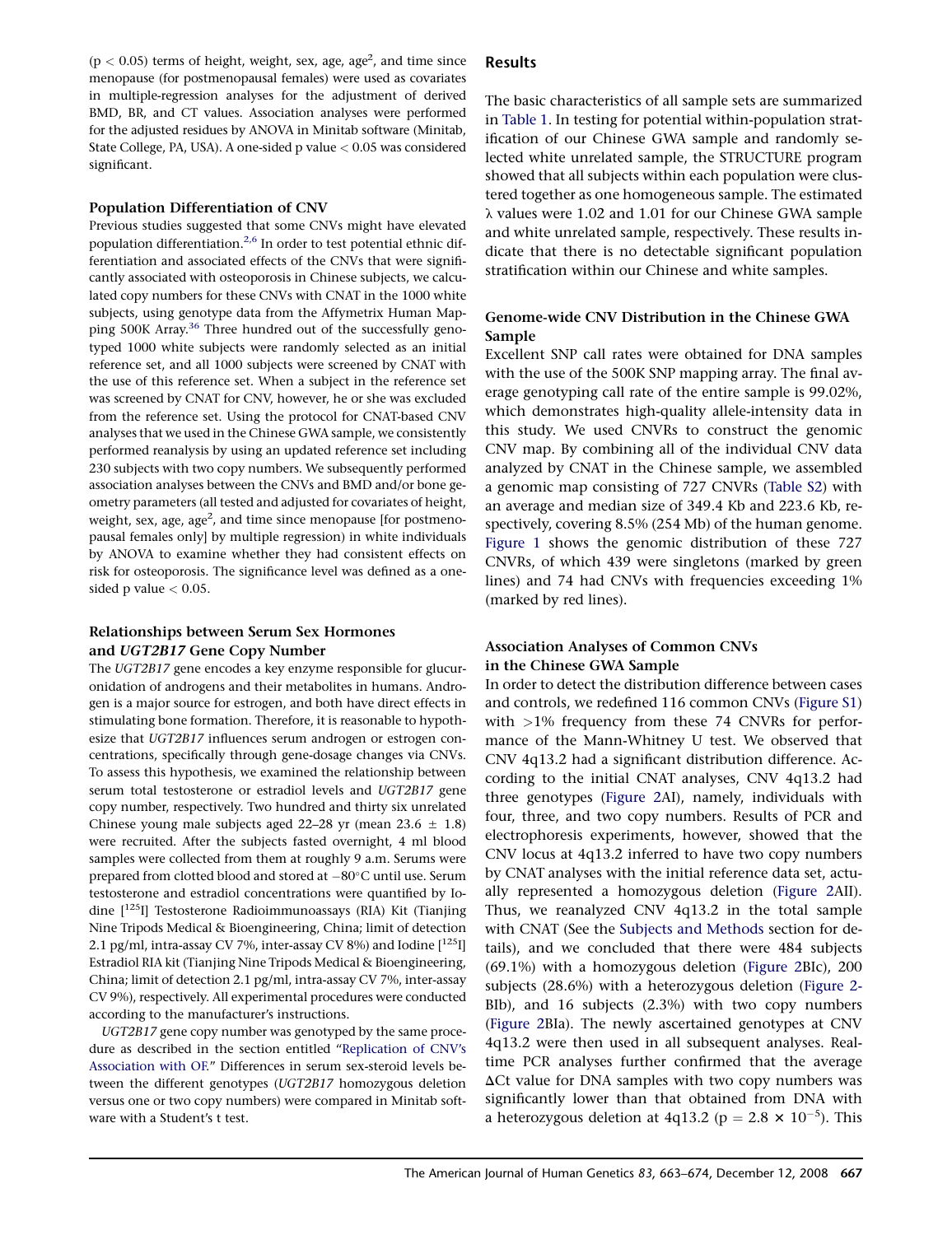<span id="page-4-0"></span> $(p < 0.05)$  terms of height, weight, sex, age, age<sup>2</sup>, and time since menopause (for postmenopausal females) were used as covariates in multiple-regression analyses for the adjustment of derived BMD, BR, and CT values. Association analyses were performed for the adjusted residues by ANOVA in Minitab software (Minitab, State College, PA, USA). A one-sided p value  $< 0.05$  was considered significant.

## Population Differentiation of CNV

Previous studies suggested that some CNVs might have elevated population differentiation.<sup>2,6</sup> In order to test potential ethnic differentiation and associated effects of the CNVs that were significantly associated with osteoporosis in Chinese subjects, we calculated copy numbers for these CNVs with CNAT in the 1000 white subjects, using genotype data from the Affymetrix Human Map-ping 500K Array.<sup>[36](#page-11-0)</sup> Three hundred out of the successfully genotyped 1000 white subjects were randomly selected as an initial reference set, and all 1000 subjects were screened by CNAT with the use of this reference set. When a subject in the reference set was screened by CNAT for CNV, however, he or she was excluded from the reference set. Using the protocol for CNAT-based CNV analyses that we used in the Chinese GWA sample, we consistently performed reanalysis by using an updated reference set including 230 subjects with two copy numbers. We subsequently performed association analyses between the CNVs and BMD and/or bone geometry parameters (all tested and adjusted for covariates of height, weight, sex, age, age<sup>2</sup>, and time since menopause [for postmenopausal females only] by multiple regression) in white individuals by ANOVA to examine whether they had consistent effects on risk for osteoporosis. The significance level was defined as a onesided p value  $< 0.05$ .

# Relationships between Serum Sex Hormones and UGT2B17 Gene Copy Number

The UGT2B17 gene encodes a key enzyme responsible for glucuronidation of androgens and their metabolites in humans. Androgen is a major source for estrogen, and both have direct effects in stimulating bone formation. Therefore, it is reasonable to hypothesize that UGT2B17 influences serum androgen or estrogen concentrations, specifically through gene-dosage changes via CNVs. To assess this hypothesis, we examined the relationship between serum total testosterone or estradiol levels and UGT2B17 gene copy number, respectively. Two hundred and thirty six unrelated Chinese young male subjects aged 22–28 yr (mean 23.6  $\pm$  1.8) were recruited. After the subjects fasted overnight, 4 ml blood samples were collected from them at roughly 9 a.m. Serums were prepared from clotted blood and stored at  $-80^{\circ}$ C until use. Serum testosterone and estradiol concentrations were quantified by Iodine [<sup>125</sup>I] Testosterone Radioimmunoassays (RIA) Kit (Tianjing Nine Tripods Medical & Bioengineering, China; limit of detection 2.1 pg/ml, intra-assay CV 7%, inter-assay CV 8%) and Iodine  $[^{125}I]$ Estradiol RIA kit (Tianjing Nine Tripods Medical & Bioengineering, China; limit of detection 2.1 pg/ml, intra-assay CV 7%, inter-assay CV 9%), respectively. All experimental procedures were conducted according to the manufacturer's instructions.

UGT2B17 gene copy number was genotyped by the same procedure as described in the section entitled ''[Replication of CNV's](#page-3-0) [Association with OF.](#page-3-0)'' Differences in serum sex-steroid levels between the different genotypes (UGT2B17 homozygous deletion versus one or two copy numbers) were compared in Minitab software with a Student's t test.

# Results

The basic characteristics of all sample sets are summarized in [Table 1](#page-5-0). In testing for potential within-population stratification of our Chinese GWA sample and randomly selected white unrelated sample, the STRUCTURE program showed that all subjects within each population were clustered together as one homogeneous sample. The estimated  $\lambda$  values were 1.02 and 1.01 for our Chinese GWA sample and white unrelated sample, respectively. These results indicate that there is no detectable significant population stratification within our Chinese and white samples.

# Genome-wide CNV Distribution in the Chinese GWA Sample

Excellent SNP call rates were obtained for DNA samples with the use of the 500K SNP mapping array. The final average genotyping call rate of the entire sample is 99.02%, which demonstrates high-quality allele-intensity data in this study. We used CNVRs to construct the genomic CNV map. By combining all of the individual CNV data analyzed by CNAT in the Chinese sample, we assembled a genomic map consisting of 727 CNVRs (Table S2) with an average and median size of 349.4 Kb and 223.6 Kb, respectively, covering 8.5% (254 Mb) of the human genome. [Figure 1](#page-6-0) shows the genomic distribution of these 727 CNVRs, of which 439 were singletons (marked by green lines) and 74 had CNVs with frequencies exceeding 1% (marked by red lines).

# Association Analyses of Common CNVs in the Chinese GWA Sample

In order to detect the distribution difference between cases and controls, we redefined 116 common CNVs (Figure S1) with  $>1\%$  frequency from these 74 CNVRs for performance of the Mann-Whitney U test. We observed that CNV 4q13.2 had a significant distribution difference. According to the initial CNAT analyses, CNV 4q13.2 had three genotypes ([Figure 2](#page-7-0)AI), namely, individuals with four, three, and two copy numbers. Results of PCR and electrophoresis experiments, however, showed that the CNV locus at 4q13.2 inferred to have two copy numbers by CNAT analyses with the initial reference data set, actually represented a homozygous deletion ([Figure 2A](#page-7-0)II). Thus, we reanalyzed CNV 4q13.2 in the total sample with CNAT (See the [Subjects and Methods](#page-1-0) section for details), and we concluded that there were 484 subjects (69.1%) with a homozygous deletion ([Figure 2](#page-7-0)BIc), 200 subjects (28.6%) with a heterozygous deletion ([Figure 2-](#page-7-0) BIb), and 16 subjects (2.3%) with two copy numbers ([Figure 2](#page-7-0)BIa). The newly ascertained genotypes at CNV 4q13.2 were then used in all subsequent analyses. Realtime PCR analyses further confirmed that the average  $\Delta$ Ct value for DNA samples with two copy numbers was significantly lower than that obtained from DNA with a heterozygous deletion at 4q13.2 ( $p = 2.8 \times 10^{-5}$ ). This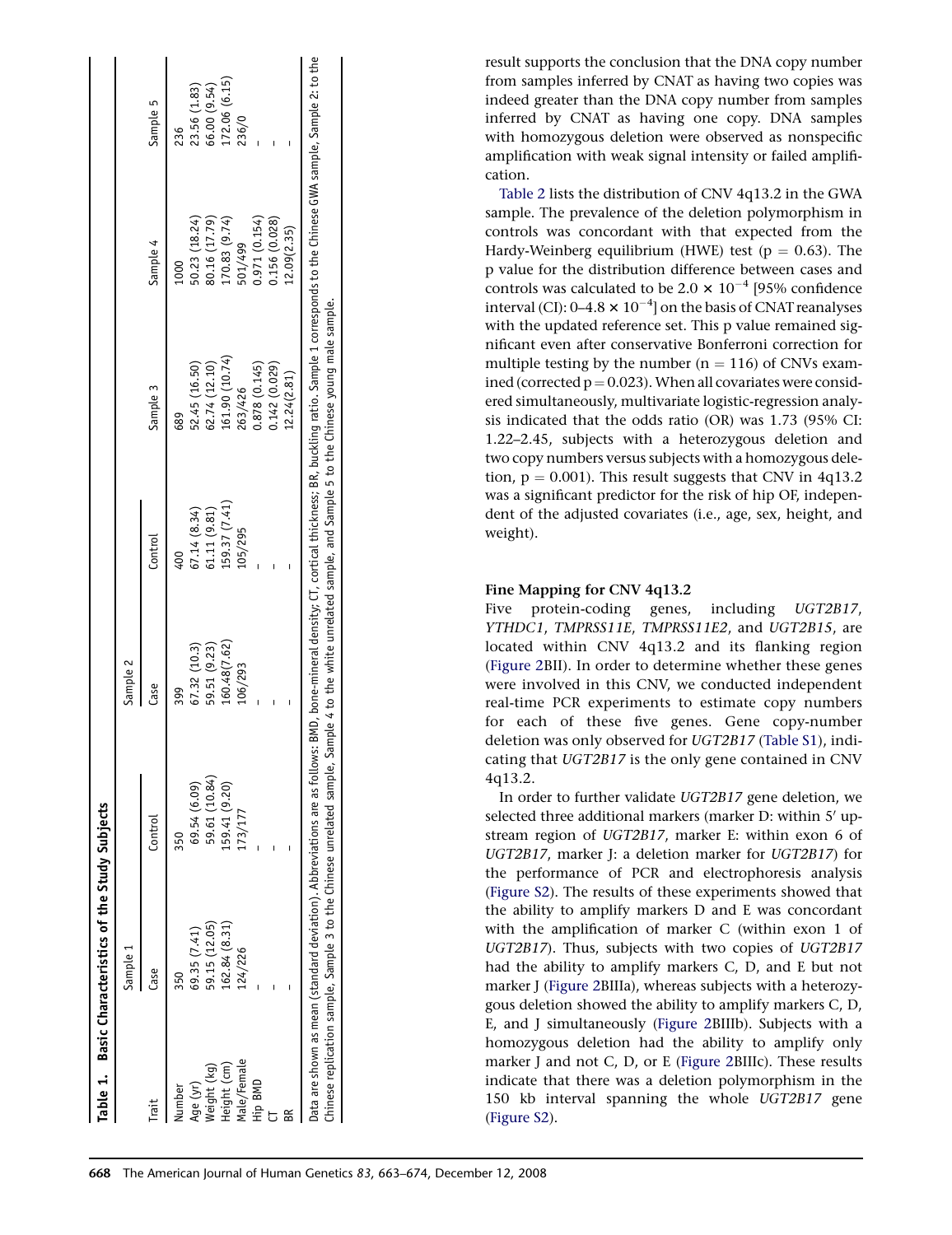<span id="page-5-0"></span>

|             | Table 1. Basic Characteristics of the Study Subjects                 |                                                                                                                                                                                                                   |              |               |                                                                                        |               |              |
|-------------|----------------------------------------------------------------------|-------------------------------------------------------------------------------------------------------------------------------------------------------------------------------------------------------------------|--------------|---------------|----------------------------------------------------------------------------------------|---------------|--------------|
|             | Sample 1                                                             |                                                                                                                                                                                                                   | Sample 2     |               |                                                                                        |               |              |
| Trait       | Case                                                                 | Control                                                                                                                                                                                                           | Case         | Control       | Sample 3                                                                               | Sample 4      | Sample 5     |
| lumber      | 350                                                                  | 350                                                                                                                                                                                                               | 399          |               | 689                                                                                    | 1000          | 236          |
| Age (yr)    | 69.35 (7.41)                                                         | 69.54 (6.09)                                                                                                                                                                                                      | 67.32 (10.3) | 67.14(8.34)   | 52.45 (16.50)                                                                          | 50.23 (18.24) | 23.56 (1.83) |
| Weight (kg) | 59.15 (12.05)                                                        | 59.61 (10.84)                                                                                                                                                                                                     | 59.51 (9.23) | 61.11 (9.81)  | 62.74 (12.10)                                                                          | 80.16 (17.79) | 66.00 (9.54) |
| Height (cm) | 162.84 (8.31)                                                        | 159.41 (9.20)                                                                                                                                                                                                     | 160.48(7.62) | [59.37 (7.41) | 161.90 (10.74)                                                                         | 170.83 (9.74) | .72.06(6.15) |
| Male/Female | 124/226                                                              | 73/177                                                                                                                                                                                                            | .06/293      | 105/295       | 263/426                                                                                | 501/499       | 236/0        |
| Hip BMD     |                                                                      |                                                                                                                                                                                                                   |              |               | 0.878 (0.145)                                                                          | 0.971(0.154)  |              |
|             |                                                                      |                                                                                                                                                                                                                   |              |               | 0.142 (0.029)                                                                          | 0.156 (0.028) |              |
|             |                                                                      |                                                                                                                                                                                                                   |              |               | 12.24(2.81)                                                                            | 12.09(2.35)   |              |
|             | hinese replication sample, Sample 3 to the Chinese unrelated sample, | ata are shown as mean (standard deviation). Abbreviations are as follows: BMD, bone-mineral density; CT, cortical thickness; BR, buckling ratio. Sample 1 corresponds to the Chinese GWA sample, Sample 2: to the |              |               | Sample 4 to the white unrelated sample, and Sample 5 to the Chinese young male sample. |               |              |

result supports the conclusion that the DNA copy number from samples inferred by CNAT as having two copies was indeed greater than the DNA copy number from samples inferred by CNAT as having one copy. DNA samples with homozygous deletion were observed as nonspecific amplification with weak signal intensity or failed amplification.

[Table 2](#page-8-0) lists the distribution of CNV 4q13.2 in the GWA sample. The prevalence of the deletion polymorphism in controls was concordant with that expected from the Hardy-Weinberg equilibrium (HWE) test ( $p = 0.63$ ). The p value for the distribution difference between cases and controls was calculated to be 2.0  $\times$  10<sup>-4</sup> [95% confidence interval (CI):  $0\text{--}4.8\times 10^{-4}$ ] on the basis of CNAT reanalyses with the updated reference set. This p value remained significant even after conservative Bonferroni correction for multiple testing by the number ( $n = 116$ ) of CNVs examined (corrected  $p = 0.023$ ). When all covariates were considered simultaneously, multivariate logistic-regression analysis indicated that the odds ratio (OR) was 1.73 (95% CI: 1.22–2.45, subjects with a heterozygous deletion and two copy numbers versus subjects with a homozygous deletion,  $p = 0.001$ . This result suggests that CNV in 4q13.2 was a significant predictor for the risk of hip OF, independent of the adjusted covariates (i.e., age, sex, height, and weight).

# Fine Mapping for CNV 4q13.2

Five protein-coding genes, including UGT2B17, YTHDC1, TMPRSS11E, TMPRSS11E2, and UGT2B15, are located within CNV 4q13.2 and its flanking region ([Figure 2B](#page-7-0)II). In order to determine whether these genes were involved in this CNV, we conducted independent real-time PCR experiments to estimate copy numbers for each of these five genes. Gene copy-number deletion was only observed for UGT2B17 (Table S1), indicating that UGT2B17 is the only gene contained in CNV 4q13.2.

In order to further validate UGT2B17 gene deletion, we selected three additional markers (marker D: within 5' upstream region of UGT2B17, marker E: within exon 6 of UGT2B17, marker J: a deletion marker for UGT2B17) for the performance of PCR and electrophoresis analysis (Figure S2). The results of these experiments showed that the ability to amplify markers D and E was concordant with the amplification of marker C (within exon 1 of UGT2B17). Thus, subjects with two copies of UGT2B17 had the ability to amplify markers C, D, and E but not marker J ([Figure 2B](#page-7-0)IIIa), whereas subjects with a heterozygous deletion showed the ability to amplify markers C, D, E, and J simultaneously ([Figure 2](#page-7-0)BIIIb). Subjects with a homozygous deletion had the ability to amplify only marker J and not C, D, or E [\(Figure 2](#page-7-0)BIIIc). These results indicate that there was a deletion polymorphism in the 150 kb interval spanning the whole UGT2B17 gene (Figure S2).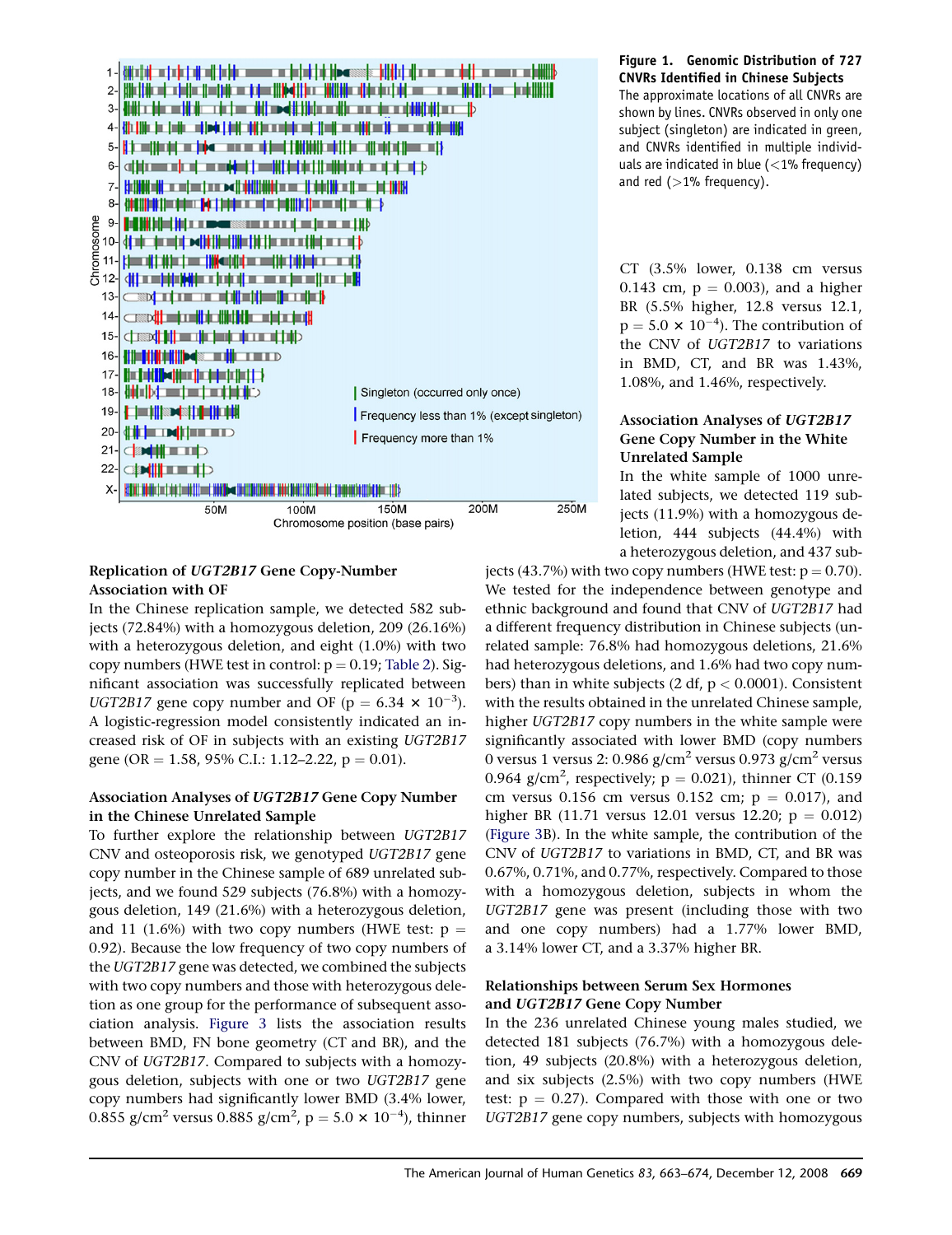<span id="page-6-0"></span>

# Replication of UGT2B17 Gene Copy-Number Association with OF

In the Chinese replication sample, we detected 582 subjects (72.84%) with a homozygous deletion, 209 (26.16%) with a heterozygous deletion, and eight (1.0%) with two copy numbers (HWE test in control:  $p = 0.19$ ; [Table 2](#page-8-0)). Significant association was successfully replicated between UGT2B17 gene copy number and OF ( $p = 6.34 \times 10^{-3}$ ). A logistic-regression model consistently indicated an increased risk of OF in subjects with an existing UGT2B17 gene (OR = 1.58, 95% C.I.: 1.12–2.22,  $p = 0.01$ ).

# Association Analyses of UGT2B17 Gene Copy Number in the Chinese Unrelated Sample

To further explore the relationship between UGT2B17 CNV and osteoporosis risk, we genotyped UGT2B17 gene copy number in the Chinese sample of 689 unrelated subjects, and we found 529 subjects (76.8%) with a homozygous deletion, 149 (21.6%) with a heterozygous deletion, and 11 (1.6%) with two copy numbers (HWE test:  $p =$ 0.92). Because the low frequency of two copy numbers of the UGT2B17 gene was detected, we combined the subjects with two copy numbers and those with heterozygous deletion as one group for the performance of subsequent association analysis. [Figure 3](#page-8-0) lists the association results between BMD, FN bone geometry (CT and BR), and the CNV of UGT2B17. Compared to subjects with a homozygous deletion, subjects with one or two UGT2B17 gene copy numbers had significantly lower BMD (3.4% lower, 0.855 g/cm<sup>2</sup> versus 0.885 g/cm<sup>2</sup>, p = 5.0  $\times$  10<sup>-4</sup>), thinner

# Figure 1. Genomic Distribution of 727 CNVRs Identified in Chinese Subjects

The approximate locations of all CNVRs are shown by lines. CNVRs observed in only one subject (singleton) are indicated in green, and CNVRs identified in multiple individuals are indicated in blue (<1% frequency) and red  $(>1%$  frequency).

CT (3.5% lower, 0.138 cm versus 0.143 cm,  $p = 0.003$ ), and a higher BR (5.5% higher, 12.8 versus 12.1,  $p = 5.0 \times 10^{-4}$ ). The contribution of the CNV of UGT2B17 to variations in BMD, CT, and BR was 1.43%, 1.08%, and 1.46%, respectively.

# Association Analyses of UGT2B17 Gene Copy Number in the White Unrelated Sample

In the white sample of 1000 unrelated subjects, we detected 119 subjects (11.9%) with a homozygous deletion, 444 subjects (44.4%) with a heterozygous deletion, and 437 sub-

jects (43.7%) with two copy numbers (HWE test:  $p = 0.70$ ). We tested for the independence between genotype and ethnic background and found that CNV of UGT2B17 had a different frequency distribution in Chinese subjects (unrelated sample: 76.8% had homozygous deletions, 21.6% had heterozygous deletions, and 1.6% had two copy numbers) than in white subjects (2 df,  $p < 0.0001$ ). Consistent with the results obtained in the unrelated Chinese sample, higher UGT2B17 copy numbers in the white sample were significantly associated with lower BMD (copy numbers 0 versus 1 versus 2: 0.986 g/cm<sup>2</sup> versus 0.973 g/cm<sup>2</sup> versus 0.964 g/cm<sup>2</sup>, respectively;  $p = 0.021$ ), thinner CT (0.159) cm versus 0.156 cm versus 0.152 cm;  $p = 0.017$ ), and higher BR (11.71 versus 12.01 versus 12.20;  $p = 0.012$ ) ([Figure 3](#page-8-0)B). In the white sample, the contribution of the CNV of UGT2B17 to variations in BMD, CT, and BR was 0.67%, 0.71%, and 0.77%, respectively. Compared to those with a homozygous deletion, subjects in whom the UGT2B17 gene was present (including those with two and one copy numbers) had a 1.77% lower BMD, a 3.14% lower CT, and a 3.37% higher BR.

# Relationships between Serum Sex Hormones and UGT2B17 Gene Copy Number

In the 236 unrelated Chinese young males studied, we detected 181 subjects (76.7%) with a homozygous deletion, 49 subjects (20.8%) with a heterozygous deletion, and six subjects (2.5%) with two copy numbers (HWE test:  $p = 0.27$ ). Compared with those with one or two UGT2B17 gene copy numbers, subjects with homozygous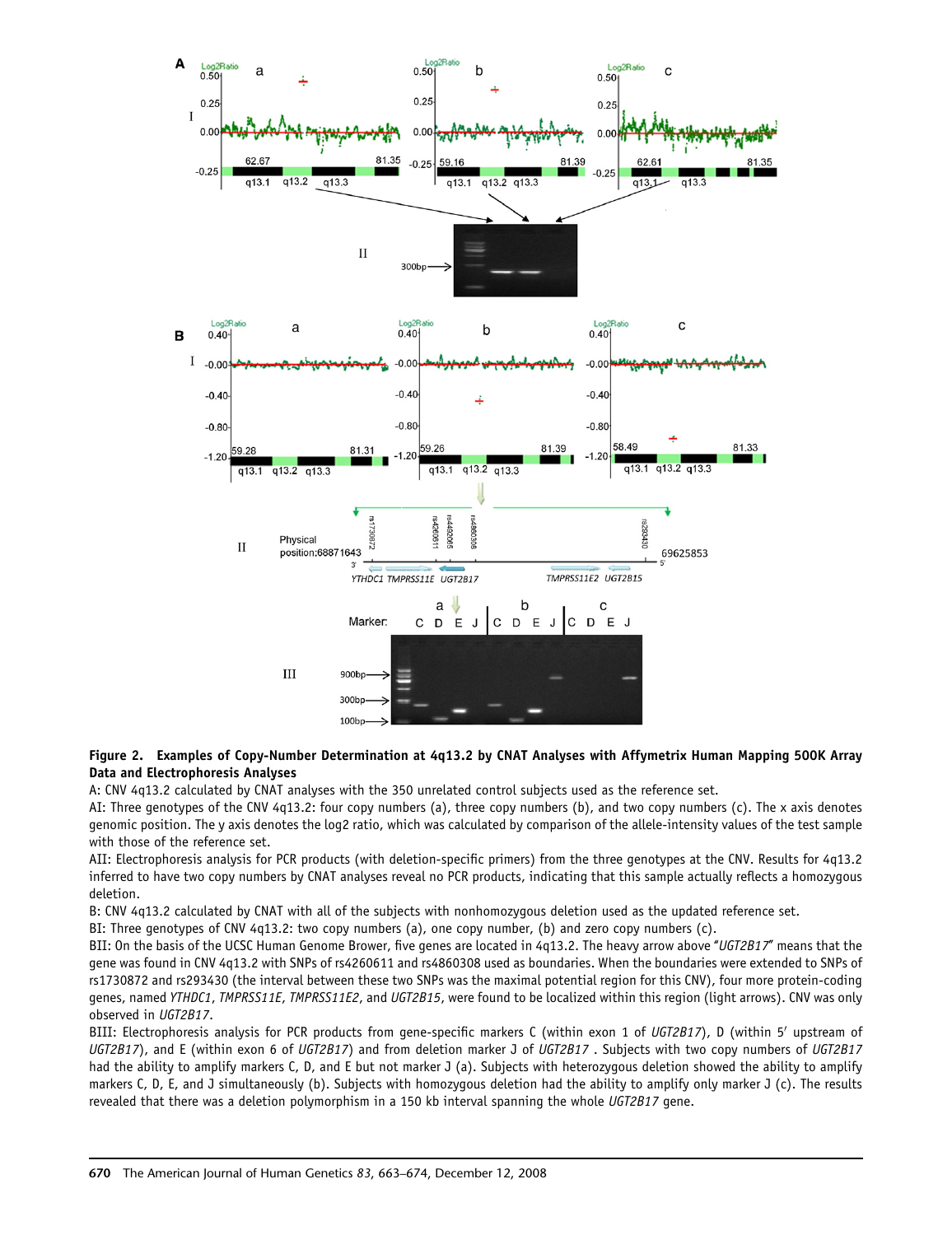<span id="page-7-0"></span>

## Figure 2. Examples of Copy-Number Determination at 4q13.2 by CNAT Analyses with Affymetrix Human Mapping 500K Array Data and Electrophoresis Analyses

A: CNV 4q13.2 calculated by CNAT analyses with the 350 unrelated control subjects used as the reference set.

AI: Three genotypes of the CNV 4q13.2: four copy numbers (a), three copy numbers (b), and two copy numbers (c). The x axis denotes genomic position. The y axis denotes the log2 ratio, which was calculated by comparison of the allele-intensity values of the test sample with those of the reference set.

AII: Electrophoresis analysis for PCR products (with deletion-specific primers) from the three genotypes at the CNV. Results for 4q13.2 inferred to have two copy numbers by CNAT analyses reveal no PCR products, indicating that this sample actually reflects a homozygous deletion.

B: CNV 4q13.2 calculated by CNAT with all of the subjects with nonhomozygous deletion used as the updated reference set.

BI: Three genotypes of CNV 4q13.2: two copy numbers (a), one copy number, (b) and zero copy numbers (c).

BII: On the basis of the UCSC Human Genome Brower, five genes are located in 4q13.2. The heavy arrow above "UGT2B17" means that the gene was found in CNV 4q13.2 with SNPs of rs4260611 and rs4860308 used as boundaries. When the boundaries were extended to SNPs of rs1730872 and rs293430 (the interval between these two SNPs was the maximal potential region for this CNV), four more protein-coding genes, named YTHDC1, TMPRSS11E, TMPRSS11E2, and UGT2B15, were found to be localized within this region (light arrows). CNV was only observed in UGT2B17.

BIII: Electrophoresis analysis for PCR products from gene-specific markers C (within exon 1 of UGT2B17), D (within 5' upstream of UGT2B17), and E (within exon 6 of UGT2B17) and from deletion marker J of UGT2B17. Subjects with two copy numbers of UGT2B17 had the ability to amplify markers C, D, and E but not marker J (a). Subjects with heterozygous deletion showed the ability to amplify markers C, D, E, and J simultaneously (b). Subjects with homozygous deletion had the ability to amplify only marker J (c). The results revealed that there was a deletion polymorphism in a 150 kb interval spanning the whole UGT2B17 gene.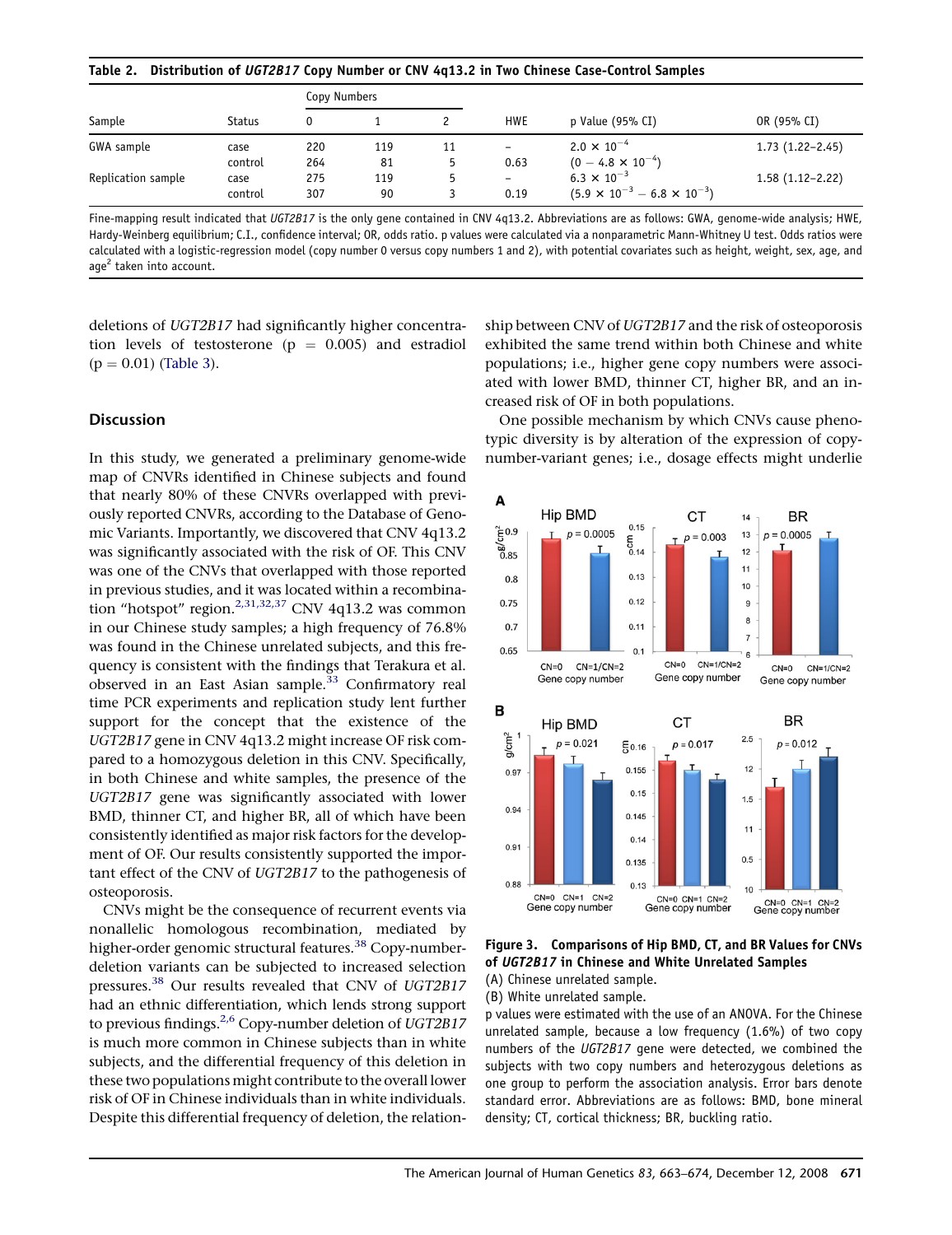### <span id="page-8-0"></span>Table 2. Distribution of UGT2B17 Copy Number or CNV 4q13.2 in Two Chinese Case-Control Samples

| Sample             | <b>Status</b> | Copy Numbers |     |    |                          |                                             |                     |
|--------------------|---------------|--------------|-----|----|--------------------------|---------------------------------------------|---------------------|
|                    |               |              |     |    | <b>HWE</b>               | p Value (95% CI)                            | OR (95% CI)         |
| GWA sample         | case          | 220          | 119 | 11 | $\overline{\phantom{0}}$ | $2.0 \times 10^{-4}$                        | $1.73(1.22 - 2.45)$ |
|                    | control       | 264          | 81  |    | 0.63                     | $(0 - 4.8 \times 10^{-4})$                  |                     |
| Replication sample | case          | 275          | 119 |    | $\overline{\phantom{a}}$ | $6.3 \times 10^{-3}$                        | $1.58(1.12 - 2.22)$ |
|                    | control       | 307          | 90  |    | 0.19                     | $(5.9 \times 10^{-3} - 6.8 \times 10^{-3})$ |                     |

Fine-mapping result indicated that UGT2B17 is the only gene contained in CNV 4q13.2. Abbreviations are as follows: GWA, genome-wide analysis; HWE, Hardy-Weinberg equilibrium; C.I., confidence interval; OR, odds ratio. p values were calculated via a nonparametric Mann-Whitney U test. Odds ratios were calculated with a logistic-regression model (copy number 0 versus copy numbers 1 and 2), with potential covariates such as height, weight, sex, age, and age<sup>2</sup> taken into account.

deletions of UGT2B17 had significantly higher concentration levels of testosterone ( $p = 0.005$ ) and estradiol  $(p = 0.01)$  [\(Table 3](#page-9-0)).

# **Discussion**

In this study, we generated a preliminary genome-wide map of CNVRs identified in Chinese subjects and found that nearly 80% of these CNVRs overlapped with previously reported CNVRs, according to the Database of Genomic Variants. Importantly, we discovered that CNV 4q13.2 was significantly associated with the risk of OF. This CNV was one of the CNVs that overlapped with those reported in previous studies, and it was located within a recombina-tion "hotspot" region.<sup>[2,31,32,37](#page-10-0)</sup> CNV 4q13.2 was common in our Chinese study samples; a high frequency of 76.8% was found in the Chinese unrelated subjects, and this frequency is consistent with the findings that Terakura et al. observed in an East Asian sample.<sup>[33](#page-11-0)</sup> Confirmatory real time PCR experiments and replication study lent further support for the concept that the existence of the UGT2B17 gene in CNV 4q13.2 might increase OF risk compared to a homozygous deletion in this CNV. Specifically, in both Chinese and white samples, the presence of the UGT2B17 gene was significantly associated with lower BMD, thinner CT, and higher BR, all of which have been consistently identified as major risk factors for the development of OF. Our results consistently supported the important effect of the CNV of UGT2B17 to the pathogenesis of osteoporosis.

CNVs might be the consequence of recurrent events via nonallelic homologous recombination, mediated by higher-order genomic structural features.<sup>[38](#page-11-0)</sup> Copy-numberdeletion variants can be subjected to increased selection pressures.[38](#page-11-0) Our results revealed that CNV of UGT2B17 had an ethnic differentiation, which lends strong support to previous findings.<sup>2,6</sup> Copy-number deletion of UGT2B17 is much more common in Chinese subjects than in white subjects, and the differential frequency of this deletion in these two populations might contribute to the overall lower risk of OF in Chinese individuals than in white individuals. Despite this differential frequency of deletion, the relation-

ship between CNV of UGT2B17 and the risk of osteoporosis exhibited the same trend within both Chinese and white populations; i.e., higher gene copy numbers were associated with lower BMD, thinner CT, higher BR, and an increased risk of OF in both populations.

One possible mechanism by which CNVs cause phenotypic diversity is by alteration of the expression of copynumber-variant genes; i.e., dosage effects might underlie



Figure 3. Comparisons of Hip BMD, CT, and BR Values for CNVs of UGT2B17 in Chinese and White Unrelated Samples

(A) Chinese unrelated sample.

(B) White unrelated sample.

p values were estimated with the use of an ANOVA. For the Chinese unrelated sample, because a low frequency (1.6%) of two copy numbers of the UGT2B17 gene were detected, we combined the subjects with two copy numbers and heterozygous deletions as one group to perform the association analysis. Error bars denote standard error. Abbreviations are as follows: BMD, bone mineral density; CT, cortical thickness; BR, buckling ratio.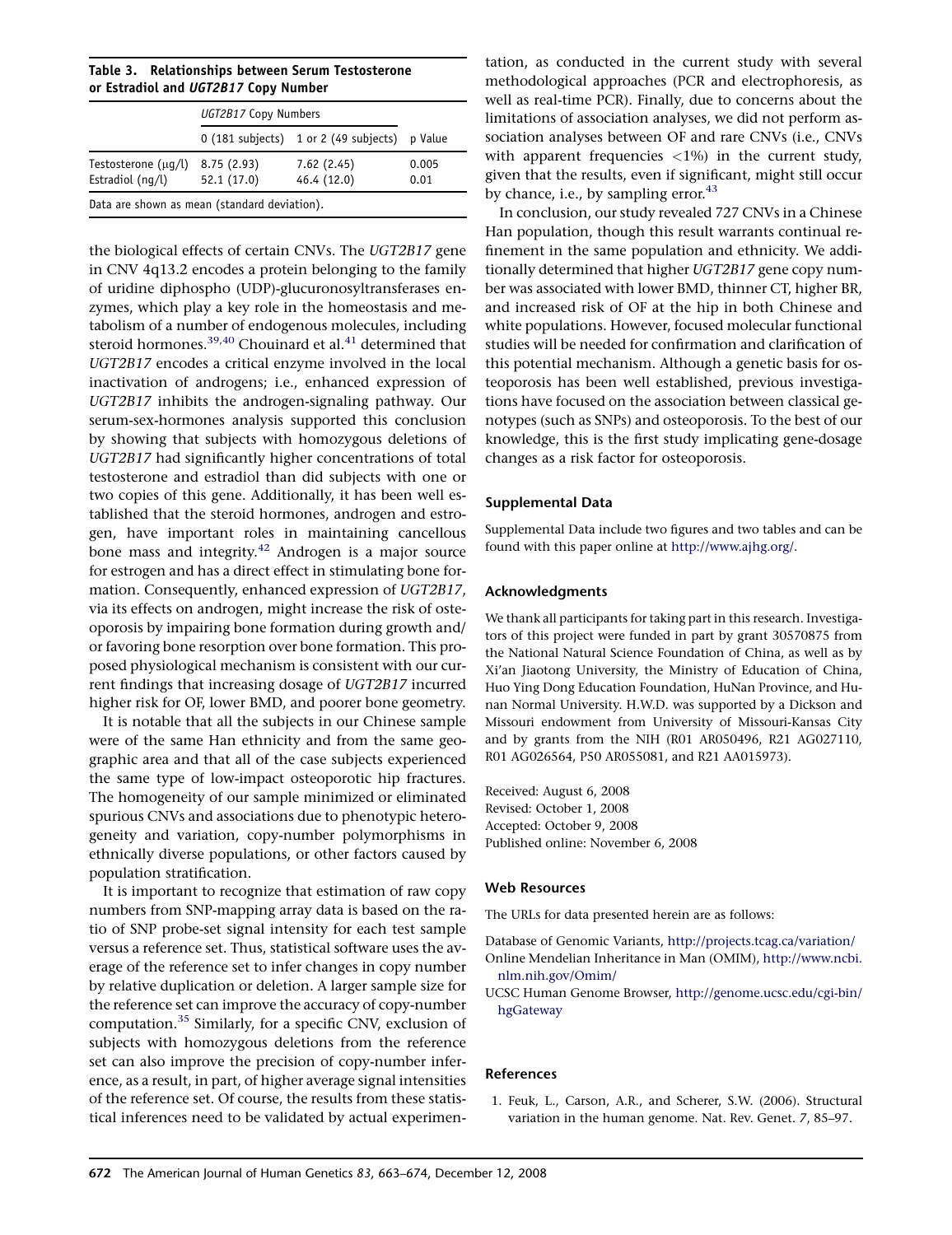<span id="page-9-0"></span>Table 3. Relationships between Serum Testosterone or Estradiol and UGT2B17 Copy Number

|                                              | UGT2B17 Copy Numbers     |                                         |               |  |  |  |  |
|----------------------------------------------|--------------------------|-----------------------------------------|---------------|--|--|--|--|
|                                              |                          | $0$ (181 subjects) 1 or 2 (49 subjects) | p Value       |  |  |  |  |
| Testosterone (µq/l)<br>Estradiol $(nq/l)$    | 8.75(2.93)<br>52.1(17.0) | 7.62(2.45)<br>46.4 (12.0)               | 0.005<br>0.01 |  |  |  |  |
| Data are shown as mean (standard deviation). |                          |                                         |               |  |  |  |  |

the biological effects of certain CNVs. The UGT2B17 gene in CNV 4q13.2 encodes a protein belonging to the family of uridine diphospho (UDP)-glucuronosyltransferases enzymes, which play a key role in the homeostasis and metabolism of a number of endogenous molecules, including steroid hormones.<sup>39,40</sup> Chouinard et al.<sup>[41](#page-11-0)</sup> determined that UGT2B17 encodes a critical enzyme involved in the local inactivation of androgens; i.e., enhanced expression of UGT2B17 inhibits the androgen-signaling pathway. Our serum-sex-hormones analysis supported this conclusion by showing that subjects with homozygous deletions of UGT2B17 had significantly higher concentrations of total testosterone and estradiol than did subjects with one or two copies of this gene. Additionally, it has been well established that the steroid hormones, androgen and estrogen, have important roles in maintaining cancellous bone mass and integrity. $42$  Androgen is a major source for estrogen and has a direct effect in stimulating bone formation. Consequently, enhanced expression of UGT2B17, via its effects on androgen, might increase the risk of osteoporosis by impairing bone formation during growth and/ or favoring bone resorption over bone formation. This proposed physiological mechanism is consistent with our current findings that increasing dosage of UGT2B17 incurred higher risk for OF, lower BMD, and poorer bone geometry.

It is notable that all the subjects in our Chinese sample were of the same Han ethnicity and from the same geographic area and that all of the case subjects experienced the same type of low-impact osteoporotic hip fractures. The homogeneity of our sample minimized or eliminated spurious CNVs and associations due to phenotypic heterogeneity and variation, copy-number polymorphisms in ethnically diverse populations, or other factors caused by population stratification.

It is important to recognize that estimation of raw copy numbers from SNP-mapping array data is based on the ratio of SNP probe-set signal intensity for each test sample versus a reference set. Thus, statistical software uses the average of the reference set to infer changes in copy number by relative duplication or deletion. A larger sample size for the reference set can improve the accuracy of copy-number computation.[35](#page-11-0) Similarly, for a specific CNV, exclusion of subjects with homozygous deletions from the reference set can also improve the precision of copy-number inference, as a result, in part, of higher average signal intensities of the reference set. Of course, the results from these statistical inferences need to be validated by actual experimen-

tation, as conducted in the current study with several methodological approaches (PCR and electrophoresis, as well as real-time PCR). Finally, due to concerns about the limitations of association analyses, we did not perform association analyses between OF and rare CNVs (i.e., CNVs with apparent frequencies  $\langle 1\% \rangle$  in the current study, given that the results, even if significant, might still occur by chance, i.e., by sampling error. $43$ 

In conclusion, our study revealed 727 CNVs in a Chinese Han population, though this result warrants continual refinement in the same population and ethnicity. We additionally determined that higher UGT2B17 gene copy number was associated with lower BMD, thinner CT, higher BR, and increased risk of OF at the hip in both Chinese and white populations. However, focused molecular functional studies will be needed for confirmation and clarification of this potential mechanism. Although a genetic basis for osteoporosis has been well established, previous investigations have focused on the association between classical genotypes (such as SNPs) and osteoporosis. To the best of our knowledge, this is the first study implicating gene-dosage changes as a risk factor for osteoporosis.

## Supplemental Data

Supplemental Data include two figures and two tables and can be found with this paper online at <http://www.ajhg.org/>.

## Acknowledgments

We thank all participants for taking part in this research. Investigators of this project were funded in part by grant 30570875 from the National Natural Science Foundation of China, as well as by Xi'an Jiaotong University, the Ministry of Education of China, Huo Ying Dong Education Foundation, HuNan Province, and Hunan Normal University. H.W.D. was supported by a Dickson and Missouri endowment from University of Missouri-Kansas City and by grants from the NIH (R01 AR050496, R21 AG027110, R01 AG026564, P50 AR055081, and R21 AA015973).

Received: August 6, 2008 Revised: October 1, 2008 Accepted: October 9, 2008 Published online: November 6, 2008

## Web Resources

The URLs for data presented herein are as follows:

Database of Genomic Variants, <http://projects.tcag.ca/variation/>

- Online Mendelian Inheritance in Man (OMIM), [http://www.ncbi.](http://www.ncbi.nlm.nih.gov/Omim/) [nlm.nih.gov/Omim/](http://www.ncbi.nlm.nih.gov/Omim/)
- UCSC Human Genome Browser, [http://genome.ucsc.edu/cgi-bin/](http://genome.ucsc.edu/cgi-bin/hgGateway) [hgGateway](http://genome.ucsc.edu/cgi-bin/hgGateway)

#### References

1. Feuk, L., Carson, A.R., and Scherer, S.W. (2006). Structural variation in the human genome. Nat. Rev. Genet. 7, 85–97.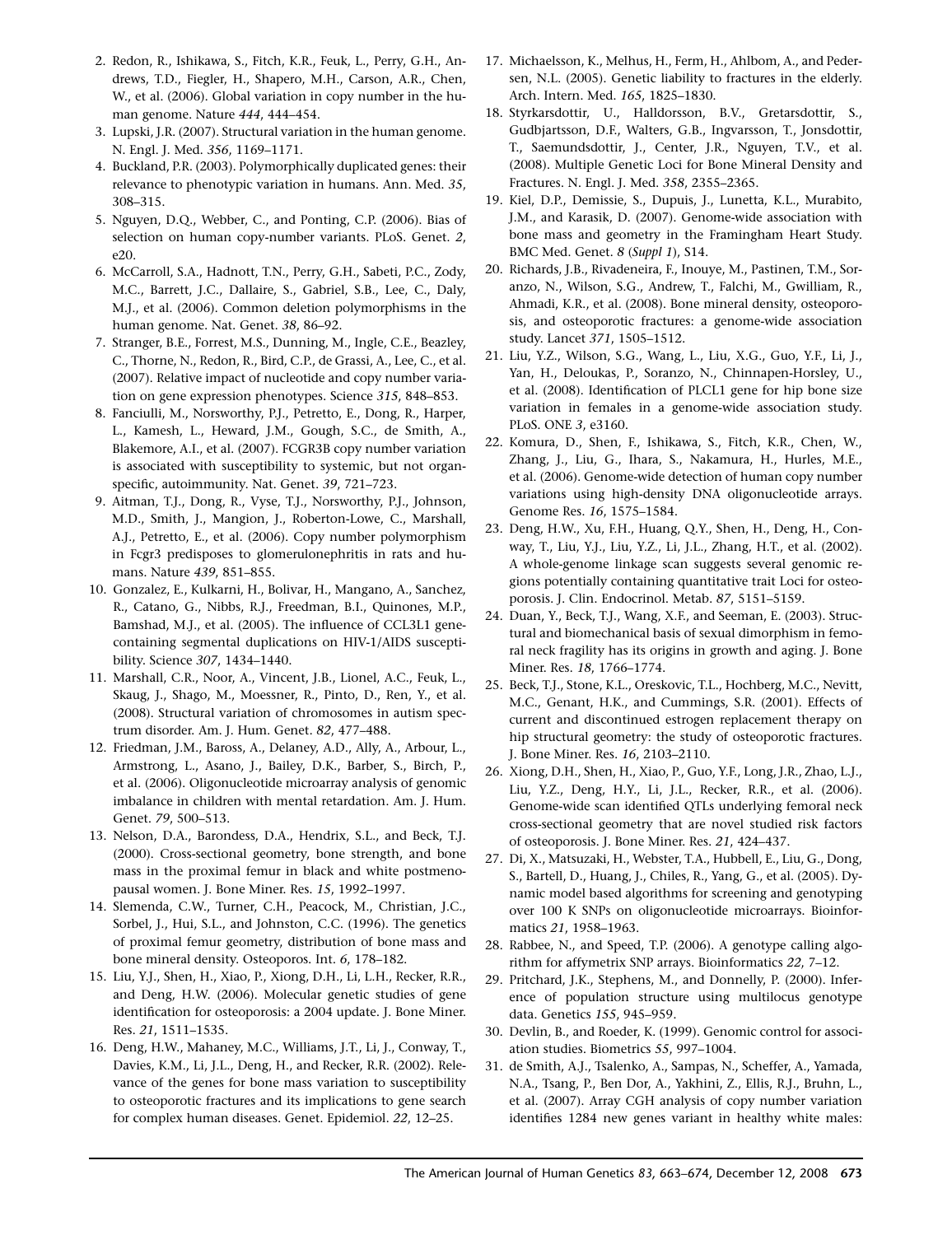- <span id="page-10-0"></span>2. Redon, R., Ishikawa, S., Fitch, K.R., Feuk, L., Perry, G.H., Andrews, T.D., Fiegler, H., Shapero, M.H., Carson, A.R., Chen, W., et al. (2006). Global variation in copy number in the human genome. Nature 444, 444–454.
- 3. Lupski, J.R. (2007). Structural variation in the human genome. N. Engl. J. Med. 356, 1169–1171.
- 4. Buckland, P.R. (2003). Polymorphically duplicated genes: their relevance to phenotypic variation in humans. Ann. Med. 35, 308–315.
- 5. Nguyen, D.Q., Webber, C., and Ponting, C.P. (2006). Bias of selection on human copy-number variants. PLoS. Genet. 2, e20.
- 6. McCarroll, S.A., Hadnott, T.N., Perry, G.H., Sabeti, P.C., Zody, M.C., Barrett, J.C., Dallaire, S., Gabriel, S.B., Lee, C., Daly, M.J., et al. (2006). Common deletion polymorphisms in the human genome. Nat. Genet. 38, 86–92.
- 7. Stranger, B.E., Forrest, M.S., Dunning, M., Ingle, C.E., Beazley, C., Thorne, N., Redon, R., Bird, C.P., de Grassi, A., Lee, C., et al. (2007). Relative impact of nucleotide and copy number variation on gene expression phenotypes. Science 315, 848–853.
- 8. Fanciulli, M., Norsworthy, P.J., Petretto, E., Dong, R., Harper, L., Kamesh, L., Heward, J.M., Gough, S.C., de Smith, A., Blakemore, A.I., et al. (2007). FCGR3B copy number variation is associated with susceptibility to systemic, but not organspecific, autoimmunity. Nat. Genet. 39, 721–723.
- 9. Aitman, T.J., Dong, R., Vyse, T.J., Norsworthy, P.J., Johnson, M.D., Smith, J., Mangion, J., Roberton-Lowe, C., Marshall, A.J., Petretto, E., et al. (2006). Copy number polymorphism in Fcgr3 predisposes to glomerulonephritis in rats and humans. Nature 439, 851–855.
- 10. Gonzalez, E., Kulkarni, H., Bolivar, H., Mangano, A., Sanchez, R., Catano, G., Nibbs, R.J., Freedman, B.I., Quinones, M.P., Bamshad, M.J., et al. (2005). The influence of CCL3L1 genecontaining segmental duplications on HIV-1/AIDS susceptibility. Science 307, 1434–1440.
- 11. Marshall, C.R., Noor, A., Vincent, J.B., Lionel, A.C., Feuk, L., Skaug, J., Shago, M., Moessner, R., Pinto, D., Ren, Y., et al. (2008). Structural variation of chromosomes in autism spectrum disorder. Am. J. Hum. Genet. 82, 477–488.
- 12. Friedman, J.M., Baross, A., Delaney, A.D., Ally, A., Arbour, L., Armstrong, L., Asano, J., Bailey, D.K., Barber, S., Birch, P., et al. (2006). Oligonucleotide microarray analysis of genomic imbalance in children with mental retardation. Am. J. Hum. Genet. 79, 500–513.
- 13. Nelson, D.A., Barondess, D.A., Hendrix, S.L., and Beck, T.J. (2000). Cross-sectional geometry, bone strength, and bone mass in the proximal femur in black and white postmenopausal women. J. Bone Miner. Res. 15, 1992–1997.
- 14. Slemenda, C.W., Turner, C.H., Peacock, M., Christian, J.C., Sorbel, J., Hui, S.L., and Johnston, C.C. (1996). The genetics of proximal femur geometry, distribution of bone mass and bone mineral density. Osteoporos. Int. 6, 178–182.
- 15. Liu, Y.J., Shen, H., Xiao, P., Xiong, D.H., Li, L.H., Recker, R.R., and Deng, H.W. (2006). Molecular genetic studies of gene identification for osteoporosis: a 2004 update. J. Bone Miner. Res. 21, 1511–1535.
- 16. Deng, H.W., Mahaney, M.C., Williams, J.T., Li, J., Conway, T., Davies, K.M., Li, J.L., Deng, H., and Recker, R.R. (2002). Relevance of the genes for bone mass variation to susceptibility to osteoporotic fractures and its implications to gene search for complex human diseases. Genet. Epidemiol. 22, 12–25.
- 17. Michaelsson, K., Melhus, H., Ferm, H., Ahlbom, A., and Pedersen, N.L. (2005). Genetic liability to fractures in the elderly. Arch. Intern. Med. 165, 1825–1830.
- 18. Styrkarsdottir, U., Halldorsson, B.V., Gretarsdottir, S., Gudbjartsson, D.F., Walters, G.B., Ingvarsson, T., Jonsdottir, T., Saemundsdottir, J., Center, J.R., Nguyen, T.V., et al. (2008). Multiple Genetic Loci for Bone Mineral Density and Fractures. N. Engl. J. Med. 358, 2355–2365.
- 19. Kiel, D.P., Demissie, S., Dupuis, J., Lunetta, K.L., Murabito, J.M., and Karasik, D. (2007). Genome-wide association with bone mass and geometry in the Framingham Heart Study. BMC Med. Genet. 8 (Suppl 1), S14.
- 20. Richards, J.B., Rivadeneira, F., Inouye, M., Pastinen, T.M., Soranzo, N., Wilson, S.G., Andrew, T., Falchi, M., Gwilliam, R., Ahmadi, K.R., et al. (2008). Bone mineral density, osteoporosis, and osteoporotic fractures: a genome-wide association study. Lancet 371, 1505–1512.
- 21. Liu, Y.Z., Wilson, S.G., Wang, L., Liu, X.G., Guo, Y.F., Li, J., Yan, H., Deloukas, P., Soranzo, N., Chinnapen-Horsley, U., et al. (2008). Identification of PLCL1 gene for hip bone size variation in females in a genome-wide association study. PLoS. ONE 3, e3160.
- 22. Komura, D., Shen, F., Ishikawa, S., Fitch, K.R., Chen, W., Zhang, J., Liu, G., Ihara, S., Nakamura, H., Hurles, M.E., et al. (2006). Genome-wide detection of human copy number variations using high-density DNA oligonucleotide arrays. Genome Res. 16, 1575–1584.
- 23. Deng, H.W., Xu, F.H., Huang, Q.Y., Shen, H., Deng, H., Conway, T., Liu, Y.J., Liu, Y.Z., Li, J.L., Zhang, H.T., et al. (2002). A whole-genome linkage scan suggests several genomic regions potentially containing quantitative trait Loci for osteoporosis. J. Clin. Endocrinol. Metab. 87, 5151–5159.
- 24. Duan, Y., Beck, T.J., Wang, X.F., and Seeman, E. (2003). Structural and biomechanical basis of sexual dimorphism in femoral neck fragility has its origins in growth and aging. J. Bone Miner. Res. 18, 1766–1774.
- 25. Beck, T.J., Stone, K.L., Oreskovic, T.L., Hochberg, M.C., Nevitt, M.C., Genant, H.K., and Cummings, S.R. (2001). Effects of current and discontinued estrogen replacement therapy on hip structural geometry: the study of osteoporotic fractures. J. Bone Miner. Res. 16, 2103–2110.
- 26. Xiong, D.H., Shen, H., Xiao, P., Guo, Y.F., Long, J.R., Zhao, L.J., Liu, Y.Z., Deng, H.Y., Li, J.L., Recker, R.R., et al. (2006). Genome-wide scan identified QTLs underlying femoral neck cross-sectional geometry that are novel studied risk factors of osteoporosis. J. Bone Miner. Res. 21, 424–437.
- 27. Di, X., Matsuzaki, H., Webster, T.A., Hubbell, E., Liu, G., Dong, S., Bartell, D., Huang, J., Chiles, R., Yang, G., et al. (2005). Dynamic model based algorithms for screening and genotyping over 100 K SNPs on oligonucleotide microarrays. Bioinformatics 21, 1958–1963.
- 28. Rabbee, N., and Speed, T.P. (2006). A genotype calling algorithm for affymetrix SNP arrays. Bioinformatics 22, 7–12.
- 29. Pritchard, J.K., Stephens, M., and Donnelly, P. (2000). Inference of population structure using multilocus genotype data. Genetics 155, 945–959.
- 30. Devlin, B., and Roeder, K. (1999). Genomic control for association studies. Biometrics 55, 997–1004.
- 31. de Smith, A.J., Tsalenko, A., Sampas, N., Scheffer, A., Yamada, N.A., Tsang, P., Ben Dor, A., Yakhini, Z., Ellis, R.J., Bruhn, L., et al. (2007). Array CGH analysis of copy number variation identifies 1284 new genes variant in healthy white males: